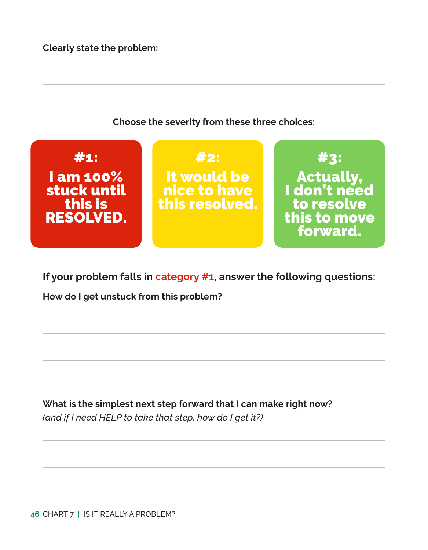**Clearly state the problem:** 



**If your problem falls in category #1, answer the following questions:**

**How do I get unstuck from this problem?**

**What is the simplest next step forward that I can make right now?**  *(and if I need HELP to take that step, how do I get it?)*

**46** CHART 7 | IS IT REALLY A PROBLEM?